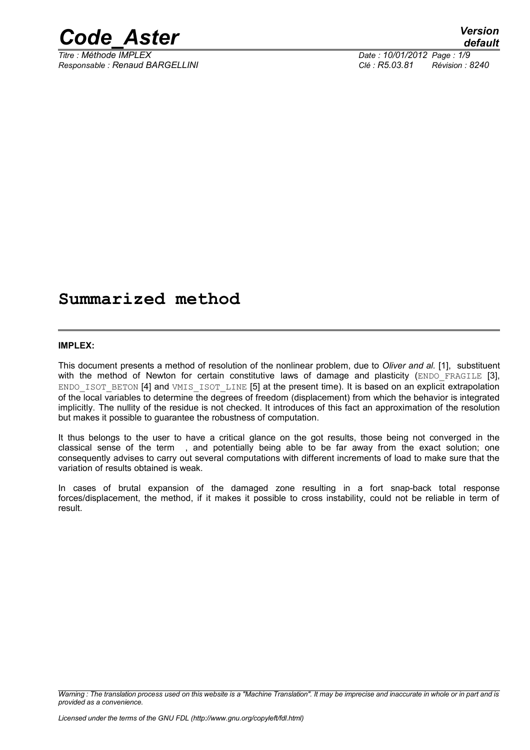

*Titre : Méthode IMPLEX Date : 10/01/2012 Page : 1/9 Responsable : Renaud BARGELLINI Clé : R5.03.81 Révision : 8240*

## **Summarized method**

#### **IMPLEX:**

This document presents a method of resolution of the nonlinear problem, due to *Oliver and al.* [1], substituent with the method of Newton for certain constitutive laws of damage and plasticity (ENDO FRAGILE [3], ENDO\_ISOT\_BETON [4] and VMIS\_ISOT\_LINE [5] at the present time). It is based on an explicit extrapolation of the local variables to determine the degrees of freedom (displacement) from which the behavior is integrated implicitly. The nullity of the residue is not checked. It introduces of this fact an approximation of the resolution but makes it possible to guarantee the robustness of computation.

It thus belongs to the user to have a critical glance on the got results, those being not converged in the classical sense of the term , and potentially being able to be far away from the exact solution; one consequently advises to carry out several computations with different increments of load to make sure that the variation of results obtained is weak.

In cases of brutal expansion of the damaged zone resulting in a fort snap-back total response forces/displacement, the method, if it makes it possible to cross instability, could not be reliable in term of result.

*Warning : The translation process used on this website is a "Machine Translation". It may be imprecise and inaccurate in whole or in part and is provided as a convenience.*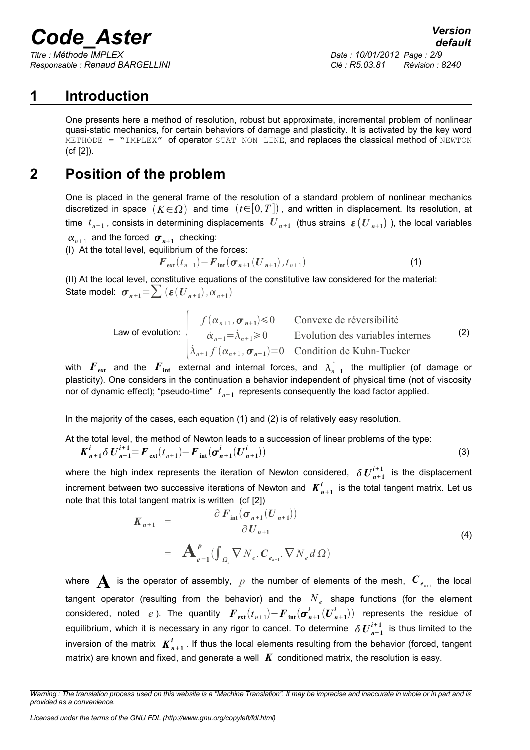*Titre : Méthode IMPLEX Date : 10/01/2012 Page : 2/9 Responsable : Renaud BARGELLINI Clé : R5.03.81 Révision : 8240*

## *default*

### **1 Introduction**

One presents here a method of resolution, robust but approximate, incremental problem of nonlinear quasi-static mechanics, for certain behaviors of damage and plasticity. It is activated by the key word METHODE = "IMPLEX" of operator STAT\_NON\_LINE, and replaces the classical method of NEWTON (cf [2]).

### **2 Position of the problem**

One is placed in the general frame of the resolution of a standard problem of nonlinear mechanics discretized in space  $(K \in \Omega)$  and time  $(t \in [0, T])$ , and written in displacement. Its resolution, at time  $t_{n+1}$  , consists in determining displacements  $|U_{n+1}|$  (thus strains  $|_{\mathcal{E}}(|U_{n+1}|)$  ), the local variables  $\alpha_{n+1}$  and the forced  $\sigma_{n+1}$  checking:

(I) At the total level, equilibrium of the forces:

$$
F_{\text{ext}}(t_{n+1}) - F_{\text{int}}(\sigma_{n+1}(U_{n+1}), t_{n+1})
$$
 (1)

(II) At the local level, constitutive equations of the constitutive law considered for the material: State model:  $\sigma_{n+1} = \sum (\varepsilon(U_{n+1}), \alpha_{n+1})$ 

> Law of evolution:  $\vert \cdot \vert$  $f(\alpha_{n+1}, \sigma_{n+1}) \le 0$  Convexe de réversibilité  $\dot{\alpha}_{n+1} = \dot{\lambda}_{n+1} \ge 0$  Evolution des variables internes  $\lambda_{n+1} f(\alpha_{n+1}, \sigma_{n+1}) = 0$  Condition de Kuhn-Tucker (2)

with  $\bm{F}_{\text{ext}}$  and the  $\bm{F}_{\text{int}}$  external and internal forces, and  $\dot{\lambda_{n+1}}$  the multiplier (of damage or plasticity). One considers in the continuation a behavior independent of physical time (not of viscosity nor of dynamic effect); "pseudo-time"  $t_{n+1}$  represents consequently the load factor applied.

In the majority of the cases, each equation (1) and (2) is of relatively easy resolution.

At the total level, the method of Newton leads to a succession of linear problems of the type:

$$
\boldsymbol{K}_{n+1}^{i} \delta \boldsymbol{U}_{n+1}^{i+1} = \boldsymbol{F}_{\text{ext}}(t_{n+1}) - \boldsymbol{F}_{\text{int}}(\boldsymbol{\sigma}_{n+1}^{i}(\boldsymbol{U}_{n+1}^{i}))
$$
\n(3)

where the high index represents the iteration of Newton considered,  $\delta \bm{U}_{n+1}^{i+1}$  is the displacement increment between two successive iterations of Newton and  $K_{n+1}^i$  is the total tangent matrix. Let us note that this total tangent matrix is written (cf [2])

$$
K_{n+1} = \frac{\partial F_{\text{int}}(\sigma_{n+1}(U_{n+1}))}{\partial U_{n+1}}
$$
  
=  $\mathbf{A}_{e=1}^p (\int_{\Omega_e} \nabla N_e \cdot \mathbf{C}_{e_{n+1}} \cdot \nabla N_e d\Omega)$  (4)

where  $\bigwedge$  is the operator of assembly,  $p$  the number of elements of the mesh,  $\mathcal{C}_{e_{n+1}}$  the local tangent operator (resulting from the behavior) and the  $N_e$  shape functions (for the element considered, noted *e*). The quantity  $\bm{F}_{ext}(t_{n+1}) - \bm{F}_{int}(\bm{\sigma}_{n+1}^i(\bm{U}_{n+1}^i))$  represents the residue of equilibrium, which it is necessary in any rigor to cancel. To determine  $\delta U^{i+1}_{n+1}$  is thus limited to the inversion of the matrix  $K^i_{n+1}$  . If thus the local elements resulting from the behavior (forced, tangent matrix) are known and fixed, and generate a well  $\boldsymbol{K}$  conditioned matrix, the resolution is easy.

*Warning : The translation process used on this website is a "Machine Translation". It may be imprecise and inaccurate in whole or in part and is provided as a convenience.*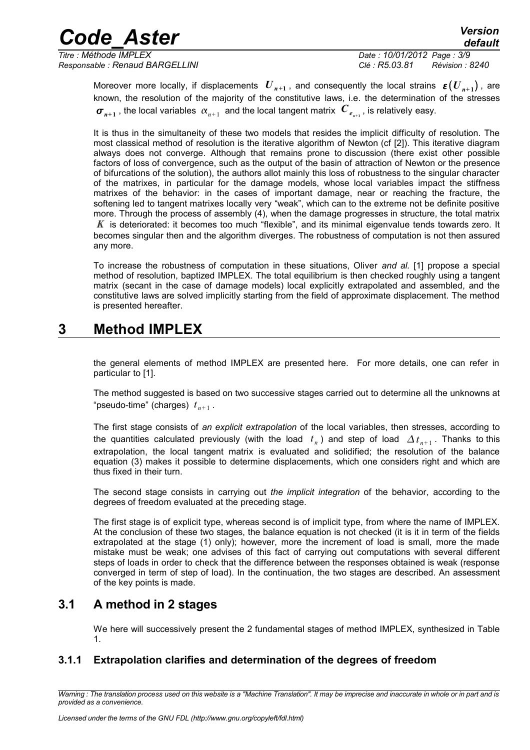*Titre : Méthode IMPLEX Date : 10/01/2012 Page : 3/9 Responsable : Renaud BARGELLINI Clé : R5.03.81 Révision : 8240*

Moreover more locally, if displacements  $|U_{n+1}|$ , and consequently the local strains  $|{\bm\epsilon} \big( {U}_{n+1} \big)$ , are known, the resolution of the majority of the constitutive laws, i.e. the determination of the stresses  $\bm{\sigma}_{n+1}$  , the local variables  $\alpha_{n+1}^{}$  and the local tangent matrix  $\bm{\mathit{C}}_{e_{n+1}^{}}$  , is relatively easy.

It is thus in the simultaneity of these two models that resides the implicit difficulty of resolution. The most classical method of resolution is the iterative algorithm of Newton (cf [2]). This iterative diagram always does not converge. Although that remains prone to discussion (there exist other possible factors of loss of convergence, such as the output of the basin of attraction of Newton or the presence of bifurcations of the solution), the authors allot mainly this loss of robustness to the singular character of the matrixes, in particular for the damage models, whose local variables impact the stiffness matrixes of the behavior: in the cases of important damage, near or reaching the fracture, the softening led to tangent matrixes locally very "weak", which can to the extreme not be definite positive more. Through the process of assembly (4), when the damage progresses in structure, the total matrix *K* is deteriorated: it becomes too much "flexible", and its minimal eigenvalue tends towards zero. It becomes singular then and the algorithm diverges. The robustness of computation is not then assured any more.

To increase the robustness of computation in these situations, Oliver *and al.* [1] propose a special method of resolution, baptized IMPLEX. The total equilibrium is then checked roughly using a tangent matrix (secant in the case of damage models) local explicitly extrapolated and assembled, and the constitutive laws are solved implicitly starting from the field of approximate displacement. The method is presented hereafter.

### **3 Method IMPLEX**

the general elements of method IMPLEX are presented here. For more details, one can refer in particular to [1].

The method suggested is based on two successive stages carried out to determine all the unknowns at "pseudo-time" (charges) *t n*+ 1 .

The first stage consists of *an explicit extrapolation* of the local variables, then stresses, according to the quantities calculated previously (with the load  $t_n$ ) and step of load  $\Delta t_{n+1}$ . Thanks to this extrapolation, the local tangent matrix is evaluated and solidified; the resolution of the balance equation (3) makes it possible to determine displacements, which one considers right and which are thus fixed in their turn.

The second stage consists in carrying out *the implicit integration* of the behavior, according to the degrees of freedom evaluated at the preceding stage.

The first stage is of explicit type, whereas second is of implicit type, from where the name of IMPLEX. At the conclusion of these two stages, the balance equation is not checked (it is it in term of the fields extrapolated at the stage (1) only); however, more the increment of load is small, more the made mistake must be weak; one advises of this fact of carrying out computations with several different steps of loads in order to check that the difference between the responses obtained is weak (response converged in term of step of load). In the continuation, the two stages are described. An assessment of the key points is made.

#### **3.1 A method in 2 stages**

We here will successively present the 2 fundamental stages of method IMPLEX, synthesized in Table 1.

#### **3.1.1 Extrapolation clarifies and determination of the degrees of freedom**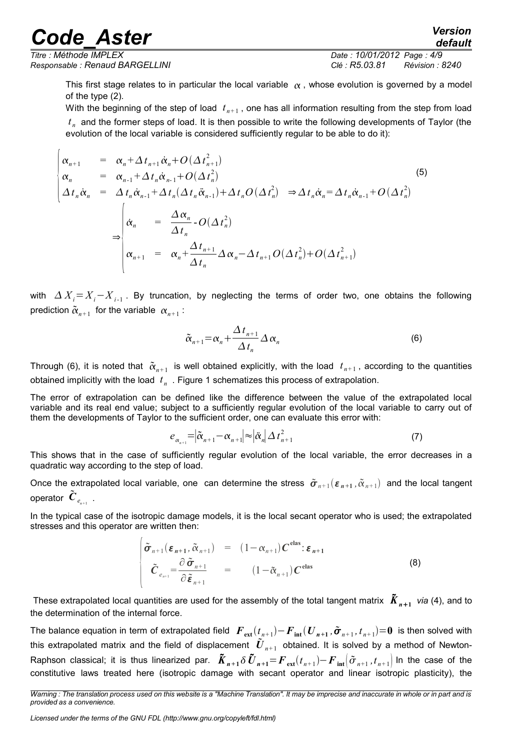$\overline{1}$ 

*Titre : Méthode IMPLEX Date : 10/01/2012 Page : 4/9 Responsable : Renaud BARGELLINI Clé : R5.03.81 Révision : 8240*

This first stage relates to in particular the local variable  $\alpha$ , whose evolution is governed by a model of the type (2).

With the beginning of the step of load  $|t_{n+1}|$ , one has all information resulting from the step from load *t n* and the former steps of load. It is then possible to write the following developments of Taylor (the evolution of the local variable is considered sufficiently regular to be able to do it):

$$
\begin{vmatrix}\n\alpha_{n+1} & = & \alpha_n + \Delta t_{n+1} \dot{\alpha}_n + O(\Delta t_{n+1}^2) \\
\alpha_n & = & \alpha_{n-1} + \Delta t_n \dot{\alpha}_{n-1} + O(\Delta t_n^2) \\
\Delta t_n \dot{\alpha}_n & = & \Delta t_n \dot{\alpha}_{n-1} + \Delta t_n (\Delta t_n \ddot{\alpha}_{n-1}) + \Delta t_n O(\Delta t_n^2) \Rightarrow \Delta t_n \dot{\alpha}_n = \Delta t_n \dot{\alpha}_{n-1} + O(\Delta t_n^2) \\
\dot{\alpha}_n & = & \frac{\Delta \alpha_n}{\Delta t_n} - O(\Delta t_n^2) \\
\alpha_{n+1} & = & \alpha_n + \frac{\Delta t_{n+1}}{\Delta t_n} \Delta \alpha_n - \Delta t_{n+1} O(\Delta t_n^2) + O(\Delta t_{n+1}^2)\n\end{vmatrix}
$$
\n(5)

with *Xi*=*Xi*−*X <sup>i</sup>*-1 . By truncation, by neglecting the terms of order two, one obtains the following prediction  $\tilde{\alpha}_{n+1}$  for the variable  $\alpha_{n+1}$ :

$$
\tilde{\alpha}_{n+1} = \alpha_n + \frac{\Delta t_{n+1}}{\Delta t_n} \Delta \alpha_n \tag{6}
$$

Through (6), it is noted that  $\tilde{\alpha}_{n+1}$  is well obtained explicitly, with the load  $t_{n+1}$ , according to the quantities obtained implicitly with the load *t n* . Figure 1 schematizes this process of extrapolation.

The error of extrapolation can be defined like the difference between the value of the extrapolated local variable and its real end value; subject to a sufficiently regular evolution of the local variable to carry out of them the developments of Taylor to the sufficient order, one can evaluate this error with:

$$
e_{\alpha_{n+1}} = |\tilde{\alpha}_{n+1} - \alpha_{n+1}| \approx |\tilde{\alpha}_n| \Delta t_{n+1}^2
$$
\n(7)

This shows that in the case of sufficiently regular evolution of the local variable, the error decreases in a quadratic way according to the step of load.

Once the extrapolated local variable, one can determine the stress  $\tilde{\sigma}_{n+1}(\varepsilon_{n+1},\tilde{\alpha}_{n+1})$  and the local tangent operator  $\tilde{\bm{C}}_{e_{n+1}}$  .

In the typical case of the isotropic damage models, it is the local secant operator who is used; the extrapolated stresses and this operator are written then:

$$
\begin{vmatrix}\n\tilde{\sigma}_{n+1}(\varepsilon_{n+1}, \tilde{\alpha}_{n+1}) &= (1 - \alpha_{n+1}) C^{\text{elas}} : \varepsilon_{n+1} \\
\tilde{C}_{e_{n+1}} &= \frac{\partial \tilde{\sigma}_{n+1}}{\partial \tilde{\varepsilon}_{n+1}} &= (1 - \tilde{\alpha}_{n+1}) C^{\text{elas}}\n\end{vmatrix}
$$
\n(8)

These extrapolated local quantities are used for the assembly of the total tangent matrix  $\tilde{\bm{K}}_{n+1}$  *via* (4), and to the determination of the internal force.

The balance equation in term of extrapolated field  $\bm{\it{F}}_{ext}(t_{n+1})- \bm{\it{F}}_{int}(\bm{\it{U}}_{n+1},\tilde{\bm{\sigma}}_{n+1},t_{n+1})\!=\!0\,$  is then solved with this extrapolated matrix and the field of displacement  $\tilde{\bm U}_{n+1}$  obtained. It is solved by a method of Newton-Raphson classical; it is thus linearized par.  $\bm{\tilde{K}}_{n+1}\delta\bm{\tilde{U}}_{n+1}$   $=$   $\bm{F}_{\rm ext}(t_{n+1})$   $\bm{F}_{\rm int}[\tilde{\sigma}_{n+1},t_{n+1}]$  In the case of the constitutive laws treated here (isotropic damage with secant operator and linear isotropic plasticity), the

*Licensed under the terms of the GNU FDL (http://www.gnu.org/copyleft/fdl.html)*

*Warning : The translation process used on this website is a "Machine Translation". It may be imprecise and inaccurate in whole or in part and is provided as a convenience.*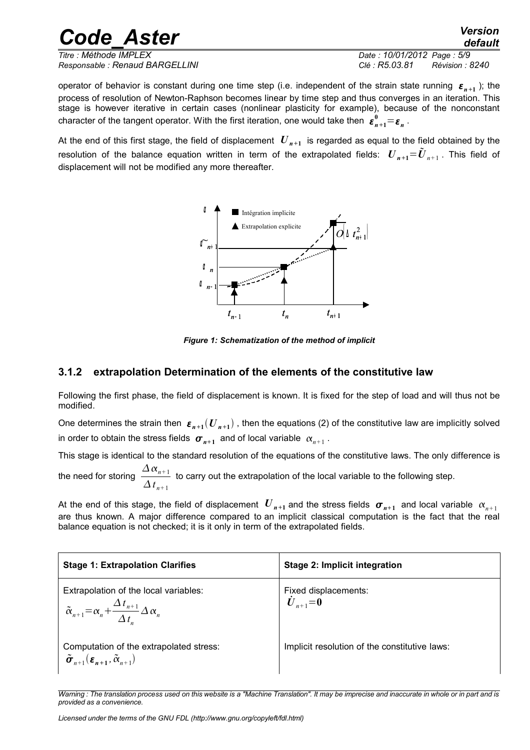*Code\_Aster Version default Titre : Méthode IMPLEX Date : 10/01/2012 Page : 5/9*

*Responsable : Renaud BARGELLINI Clé : R5.03.81 Révision : 8240*

operator of behavior is constant during one time step (i.e. independent of the strain state running  $\epsilon_{n+1}$ ); the process of resolution of Newton-Raphson becomes linear by time step and thus converges in an iteration. This stage is however iterative in certain cases (nonlinear plasticity for example), because of the nonconstant character of the tangent operator. With the first iteration, one would take then  $\bm{\varepsilon}_{n+1}^0\!=\!\bm{\varepsilon}_n^{}$  .

At the end of this first stage, the field of displacement  $|{U}_{n+1}|$  is regarded as equal to the field obtained by the resolution of the balance equation written in term of the extrapolated fields:  $\bm{U}_{n+1} \!=\! \tilde{\bm{U}}_{n+1}$  . This field of displacement will not be modified any more thereafter.



*Figure 1: Schematization of the method of implicit*

#### **3.1.2 extrapolation Determination of the elements of the constitutive law**

Following the first phase, the field of displacement is known. It is fixed for the step of load and will thus not be modified.

One determines the strain then  $\bm{\varepsilon_{n+1}}(U_{n+1})$  , then the equations (2) of the constitutive law are implicitly solved in order to obtain the stress fields  $\boldsymbol{\sigma}_{n+1}^{\vphantom{\dagger}}$  and of local variable  $\left. \alpha_{n+1}^{\vphantom{\dagger}}\right.$ 

This stage is identical to the standard resolution of the equations of the constitutive laws. The only difference is the need for storing  $\frac{\Delta \alpha_{n+1}}{n}$ 

 $\Delta t$ <sub>n+1</sub> to carry out the extrapolation of the local variable to the following step.

At the end of this stage, the field of displacement  $|{\bm U}_{n+1}|$  and the stress fields  $|{\bm \sigma}_{n+1}|$  and local variable  $|{\alpha}_{n+1}|$ are thus known. A major difference compared to an implicit classical computation is the fact that the real balance equation is not checked; it is it only in term of the extrapolated fields.

| <b>Stage 1: Extrapolation Clarifies</b>                                                                                      | Stage 2: Implicit integration                 |
|------------------------------------------------------------------------------------------------------------------------------|-----------------------------------------------|
| Extrapolation of the local variables:<br>$\tilde{\alpha}_{n+1} = \alpha_n + \frac{\Delta t_{n+1}}{\Delta t} \Delta \alpha_n$ | Fixed displacements:<br>$\dot{U}_{n+1} = 0$   |
| Computation of the extrapolated stress:<br>$\tilde{\sigma}_{n+1}(\varepsilon_{n+1}, \tilde{\alpha}_{n+1})$                   | Implicit resolution of the constitutive laws: |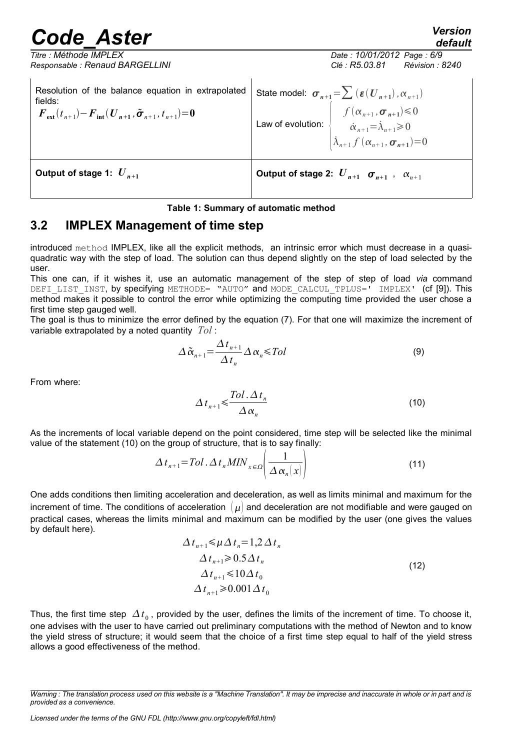*default*

| Titre : Méthode IMPLEX                                                                                                                                                    | Date: 10/01/2012 Page: 6/9                                                                                                                                                                                                                                                                  |
|---------------------------------------------------------------------------------------------------------------------------------------------------------------------------|---------------------------------------------------------------------------------------------------------------------------------------------------------------------------------------------------------------------------------------------------------------------------------------------|
| Responsable: Renaud BARGELLINI                                                                                                                                            | Clé : R5.03.81<br>Révision : 8240                                                                                                                                                                                                                                                           |
| Resolution of the balance equation in extrapolated<br>fields:<br>$\mathbf{F}_{\text{ext}}(t_{n+1}) - \mathbf{F}_{\text{int}}(U_{n+1}, \tilde{\sigma}_{n+1}, t_{n+1}) = 0$ | State model: $\sigma_{n+1} = \sum (\varepsilon(U_{n+1}), \alpha_{n+1})$<br>Law of evolution: $\begin{cases} \overbrace{f(\alpha_{n+1}, \sigma_{n+1})}^{n+1} \leq 0 \\ \dot{\alpha}_{n+1} = \dot{\lambda}_{n+1} \geq 0 \\ \dot{\lambda}_{n+1} f(\alpha_{n+1}, \sigma_{n+1}) = 0 \end{cases}$ |
| Output of stage 1: $U_{n+1}$                                                                                                                                              | Output of stage 2: $U_{n+1}$ $\sigma_{n+1}$ , $\alpha_{n+1}$                                                                                                                                                                                                                                |

#### **Table 1: Summary of automatic method**

#### **3.2 IMPLEX Management of time step**

introduced method IMPLEX, like all the explicit methods, an intrinsic error which must decrease in a quasiquadratic way with the step of load. The solution can thus depend slightly on the step of load selected by the user.

This one can, if it wishes it, use an automatic management of the step of step of load *via* command DEFI LIST INST, by specifying METHODE= "AUTO" and MODE CALCUL TPLUS=' IMPLEX' (cf [9]). This method makes it possible to control the error while optimizing the computing time provided the user chose a first time step gauged well.

The goal is thus to minimize the error defined by the equation (7). For that one will maximize the increment of variable extrapolated by a noted quantity *Tol* :

$$
\Delta \tilde{\alpha}_{n+1} = \frac{\Delta t_{n+1}}{\Delta t_n} \Delta \alpha_n \leq Tol \tag{9}
$$

From where:

$$
\Delta t_{n+1} \leqslant \frac{Tol \cdot \Delta t_n}{\Delta \alpha_n} \tag{10}
$$

As the increments of local variable depend on the point considered, time step will be selected like the minimal value of the statement (10) on the group of structure, that is to say finally:

$$
\Delta t_{n+1} = Tol \cdot \Delta t_n MIN_{x \in \Omega} \left( \frac{1}{\Delta \alpha_n(x)} \right)
$$
 (11)

One adds conditions then limiting acceleration and deceleration, as well as limits minimal and maximum for the increment of time. The conditions of acceleration  $|\mu|$  and deceleration are not modifiable and were gauged on practical cases, whereas the limits minimal and maximum can be modified by the user (one gives the values by default here).

$$
\Delta t_{n+1} \leq \mu \Delta t_n = 1,2 \Delta t_n
$$
  
\n
$$
\Delta t_{n+1} \geq 0.5 \Delta t_n
$$
  
\n
$$
\Delta t_{n+1} \leq 10 \Delta t_0
$$
  
\n
$$
\Delta t_{n+1} \geq 0.001 \Delta t_0
$$
\n(12)

Thus, the first time step  $\Delta t_0$  , provided by the user, defines the limits of the increment of time. To choose it, one advises with the user to have carried out preliminary computations with the method of Newton and to know the yield stress of structure; it would seem that the choice of a first time step equal to half of the yield stress allows a good effectiveness of the method.

*Warning : The translation process used on this website is a "Machine Translation". It may be imprecise and inaccurate in whole or in part and is provided as a convenience.*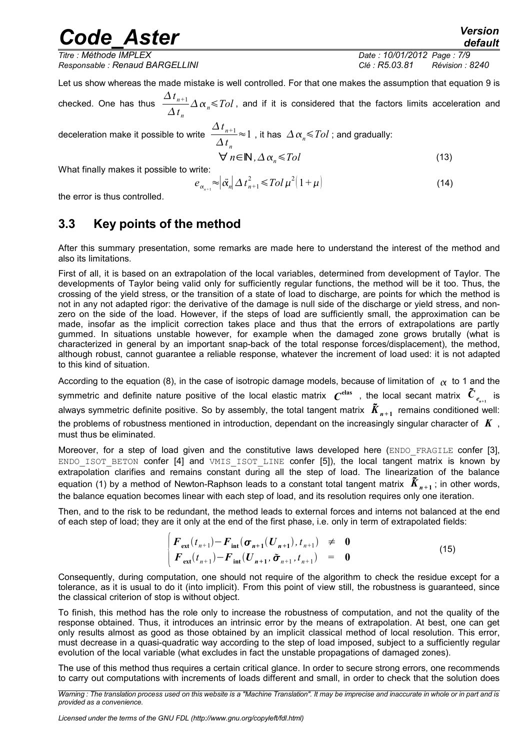*Titre : Méthode IMPLEX Date : 10/01/2012 Page : 7/9 Responsable : Renaud BARGELLINI Clé : R5.03.81 Révision : 8240*

Let us show whereas the made mistake is well controlled. For that one makes the assumption that equation 9 is

checked. One has thus  $\Delta t$ <sub>n+1</sub>  $\Delta t_n$  $\Delta\,\alpha_{\scriptscriptstyle n}^{}\!\!\leqslant\!Tol$  , and if it is considered that the factors limits acceleration and  $\Delta t$ <sub>n+1</sub>

deceleration make it possible to write

$$
\Delta t_n
$$
  
\n
$$
\forall n \in \mathbb{N}, \Delta \alpha_n \leq Tol
$$
 (13)

What finally makes it possible to write:

$$
e_{\alpha_{n+1}} \approx |\vec{\alpha}_n| \Delta t_{n+1}^2 \leq Tol \mu^2 (1+\mu)
$$
 (14)

 $\approx$ 1, it has  $\Delta \alpha_n \leq Tol$  ; and gradually:

the error is thus controlled.

### **3.3 Key points of the method**

After this summary presentation, some remarks are made here to understand the interest of the method and also its limitations.

First of all, it is based on an extrapolation of the local variables, determined from development of Taylor. The developments of Taylor being valid only for sufficiently regular functions, the method will be it too. Thus, the crossing of the yield stress, or the transition of a state of load to discharge, are points for which the method is not in any not adapted rigor: the derivative of the damage is null side of the discharge or yield stress, and nonzero on the side of the load. However, if the steps of load are sufficiently small, the approximation can be made, insofar as the implicit correction takes place and thus that the errors of extrapolations are partly gummed. In situations unstable however, for example when the damaged zone grows brutally (what is characterized in general by an important snap-back of the total response forces/displacement), the method, although robust, cannot guarantee a reliable response, whatever the increment of load used: it is not adapted to this kind of situation.

According to the equation (8), in the case of isotropic damage models, because of limitation of  $\alpha$  to 1 and the symmetric and definite nature positive of the local elastic matrix  $\bm{\mathit{C}}^{\rm elas}$  , the local secant matrix  $\tilde{\bm{C}}_{e_{n+1}}$  is always symmetric definite positive. So by assembly, the total tangent matrix  $\tilde{\bm{K}}_{n+1}$  remains conditioned well: the problems of robustness mentioned in introduction, dependant on the increasingly singular character of *K* , must thus be eliminated.

Moreover, for a step of load given and the constitutive laws developed here (ENDO\_FRAGILE confer [3], ENDO ISOT BETON confer [4] and VMIS ISOT LINE confer [5]), the local tangent matrix is known by extrapolation clarifies and remains constant during all the step of load. The linearization of the balance equation (1) by a method of Newton-Raphson leads to a constant total tangent matrix  $\tilde{K}_{n+1}$ ; in other words, the balance equation becomes linear with each step of load, and its resolution requires only one iteration.

Then, and to the risk to be redundant, the method leads to external forces and interns not balanced at the end of each step of load; they are it only at the end of the first phase, i.e. only in term of extrapolated fields:

$$
\begin{vmatrix} \boldsymbol{F}_{\text{ext}}(t_{n+1}) - \boldsymbol{F}_{\text{int}}(\boldsymbol{\sigma}_{n+1}(U_{n+1}), t_{n+1}) & \neq & \boldsymbol{0} \\ \boldsymbol{F}_{\text{ext}}(t_{n+1}) - \boldsymbol{F}_{\text{int}}(\boldsymbol{U}_{n+1}, \tilde{\boldsymbol{\sigma}}_{n+1}, t_{n+1}) & = & \boldsymbol{0} \end{vmatrix} \tag{15}
$$

Consequently, during computation, one should not require of the algorithm to check the residue except for a tolerance, as it is usual to do it (into implicit). From this point of view still, the robustness is guaranteed, since the classical criterion of stop is without object.

To finish, this method has the role only to increase the robustness of computation, and not the quality of the response obtained. Thus, it introduces an intrinsic error by the means of extrapolation. At best, one can get only results almost as good as those obtained by an implicit classical method of local resolution. This error, must decrease in a quasi-quadratic way according to the step of load imposed, subject to a sufficiently regular evolution of the local variable (what excludes in fact the unstable propagations of damaged zones).

The use of this method thus requires a certain critical glance. In order to secure strong errors, one recommends to carry out computations with increments of loads different and small, in order to check that the solution does

*Licensed under the terms of the GNU FDL (http://www.gnu.org/copyleft/fdl.html)*

*Warning : The translation process used on this website is a "Machine Translation". It may be imprecise and inaccurate in whole or in part and is provided as a convenience.*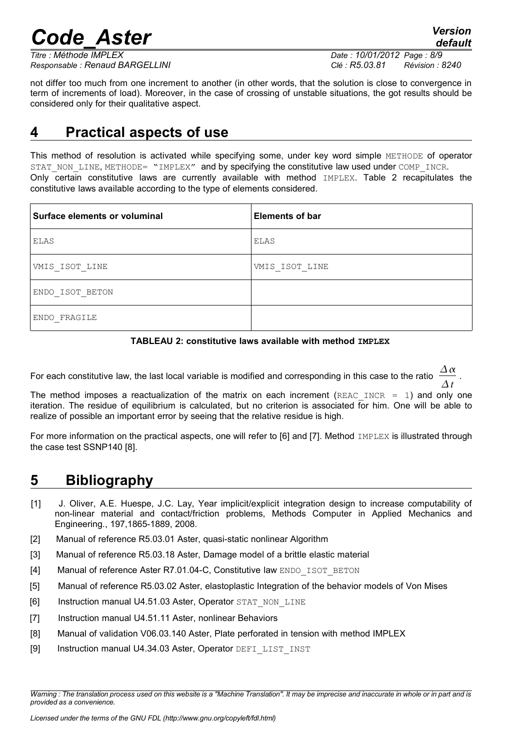*default*

*Responsable : Renaud BARGELLINI Clé : R5.03.81 Révision : 8240*

*Titre : Méthode IMPLEX Date : 10/01/2012 Page : 8/9*

not differ too much from one increment to another (in other words, that the solution is close to convergence in term of increments of load). Moreover, in the case of crossing of unstable situations, the got results should be considered only for their qualitative aspect.

### **4 Practical aspects of use**

This method of resolution is activated while specifying some, under key word simple METHODE of operator STAT\_NON\_LINE, METHODE= "IMPLEX" and by specifying the constitutive law used under COMP\_INCR. Only certain constitutive laws are currently available with method IMPLEX. Table 2 recapitulates the constitutive laws available according to the type of elements considered.

| Surface elements or voluminal | <b>Elements of bar</b> |
|-------------------------------|------------------------|
| ELAS                          | ELAS                   |
| VMIS ISOT LINE                | VMIS ISOT LINE         |
| ENDO ISOT BETON               |                        |
| ENDO FRAGILE                  |                        |



For each constitutive law, the last local variable is modified and corresponding in this case to the ratio  $\frac{\Delta \alpha}{\Delta \alpha}$ *t* .

The method imposes a reactualization of the matrix on each increment (REAC\_INCR = 1) and only one iteration. The residue of equilibrium is calculated, but no criterion is associated for him. One will be able to realize of possible an important error by seeing that the relative residue is high.

For more information on the practical aspects, one will refer to [6] and [7]. Method IMPLEX is illustrated through the case test SSNP140 [8].

## **5 Bibliography**

- [1] J. Oliver, A.E. Huespe, J.C. Lay, Year implicit/explicit integration design to increase computability of non-linear material and contact/friction problems, Methods Computer in Applied Mechanics and Engineering., 197,1865-1889, 2008.
- [2] Manual of reference R5.03.01 Aster, quasi-static nonlinear Algorithm
- [3] Manual of reference R5.03.18 Aster, Damage model of a brittle elastic material
- [4] Manual of reference Aster R7.01.04-C, Constitutive law ENDO\_ISOT\_BETON
- [5] Manual of reference R5.03.02 Aster, elastoplastic Integration of the behavior models of Von Mises
- [6] Instruction manual U4.51.03 Aster, Operator STAT\_NON\_LINE
- [7] Instruction manual U4.51.11 Aster, nonlinear Behaviors
- [8] Manual of validation V06.03.140 Aster, Plate perforated in tension with method IMPLEX
- [9] Instruction manual U4.34.03 Aster, Operator DEFI\_LIST\_INST